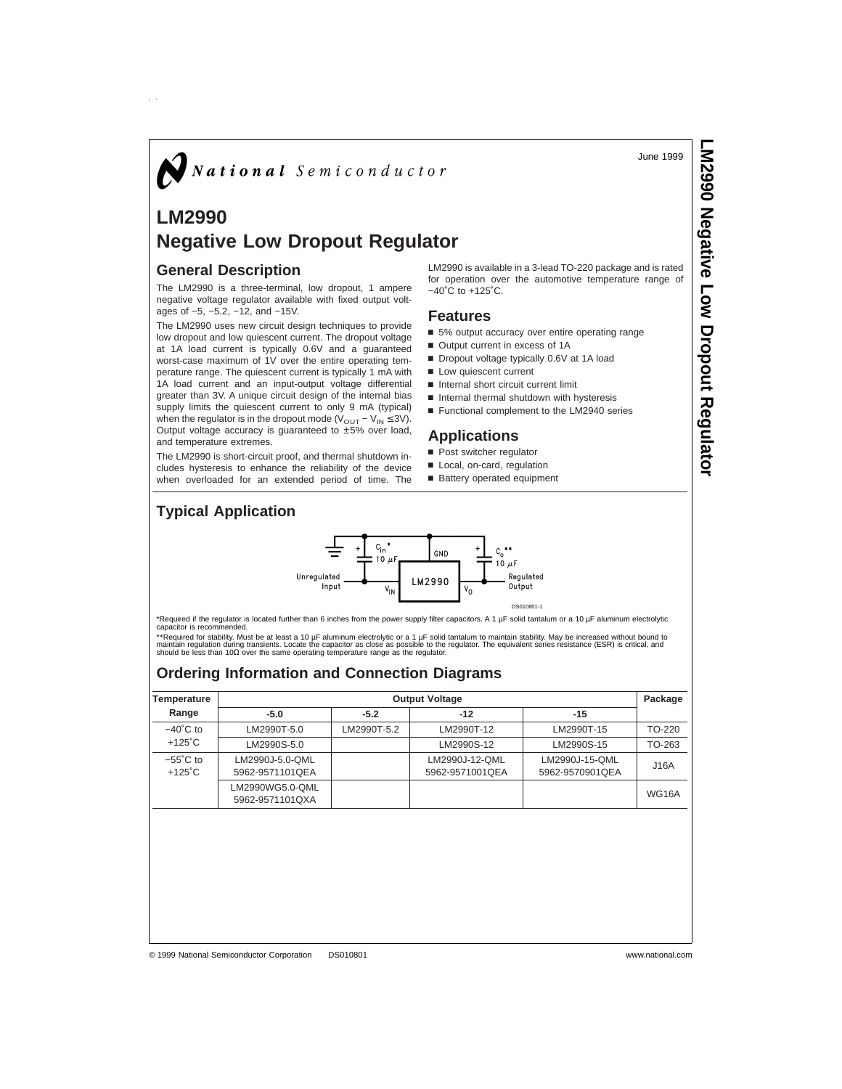June 1999

# $\bigotimes$  National Semiconductor

## **LM2990 Negative Low Dropout Regulator**

#### **General Description**

 $\hat{p}$ 

The LM2990 is a three-terminal, low dropout, 1 ampere negative voltage regulator available with fixed output voltages of −5, −5.2, −12, and −15V.

The LM2990 uses new circuit design techniques to provide low dropout and low quiescent current. The dropout voltage at 1A load current is typically 0.6V and a guaranteed worst-case maximum of 1V over the entire operating temperature range. The quiescent current is typically 1 mA with 1A load current and an input-output voltage differential greater than 3V. A unique circuit design of the internal bias supply limits the quiescent current to only 9 mA (typical) when the regulator is in the dropout mode ( $V<sub>OUT</sub> - V<sub>IN</sub> \le 3V$ ). Output voltage accuracy is guaranteed to ±5% over load, and temperature extremes.

The LM2990 is short-circuit proof, and thermal shutdown includes hysteresis to enhance the reliability of the device when overloaded for an extended period of time. The

LM2990 is available in a 3-lead TO-220 package and is rated for operation over the automotive temperature range of −40˚C to +125˚C.

#### **Features**

- 5% output accuracy over entire operating range
- Output current in excess of 1A
- Dropout voltage typically 0.6V at 1A load
- **n** Low quiescent current
- Internal short circuit current limit
- n Internal thermal shutdown with hysteresis
- Functional complement to the LM2940 series

#### **Applications**

- **n** Post switcher regulator
- Local, on-card, regulation
- Battery operated equipment

## **Typical Application**



\*Required if the regulator is located further than 6 inches from the power supply filter capacitors. A 1 µF solid tantalum or a 10 µF aluminum electrolytic capacitor is recommended.

\*\*Required for stability. Must be at least a 10 μF aluminum electrolytic or a 1 μF solid tantalum to maintain stability. May be increased without bound to<br>maintain regulation during transients. Locate the capacitor as cl

## **Ordering Information and Connection Diagrams**

| Temperature        | <b>Output Voltage</b> |             |                 |                 |              |  |
|--------------------|-----------------------|-------------|-----------------|-----------------|--------------|--|
| Range              | $-5.0$                | $-5.2$      | $-12$           | $-15$           |              |  |
| $-40^{\circ}$ C to | LM2990T-5.0           | LM2990T-5.2 | LM2990T-12      | LM2990T-15      | TO-220       |  |
| $+125^{\circ}$ C   | LM2990S-5.0           |             | LM2990S-12      | LM2990S-15      | TO-263       |  |
| $-55^{\circ}$ C to | LM2990J-5.0-QML       |             | LM2990J-12-QML  | LM2990J-15-OML  | J16A         |  |
| $+125^{\circ}$ C   | 5962-9571101QEA       |             | 5962-9571001QEA | 5962-9570901QEA |              |  |
|                    | LM2990WG5.0-QML       |             |                 |                 | <b>WG16A</b> |  |
|                    | 5962-9571101QXA       |             |                 |                 |              |  |
|                    |                       |             |                 |                 |              |  |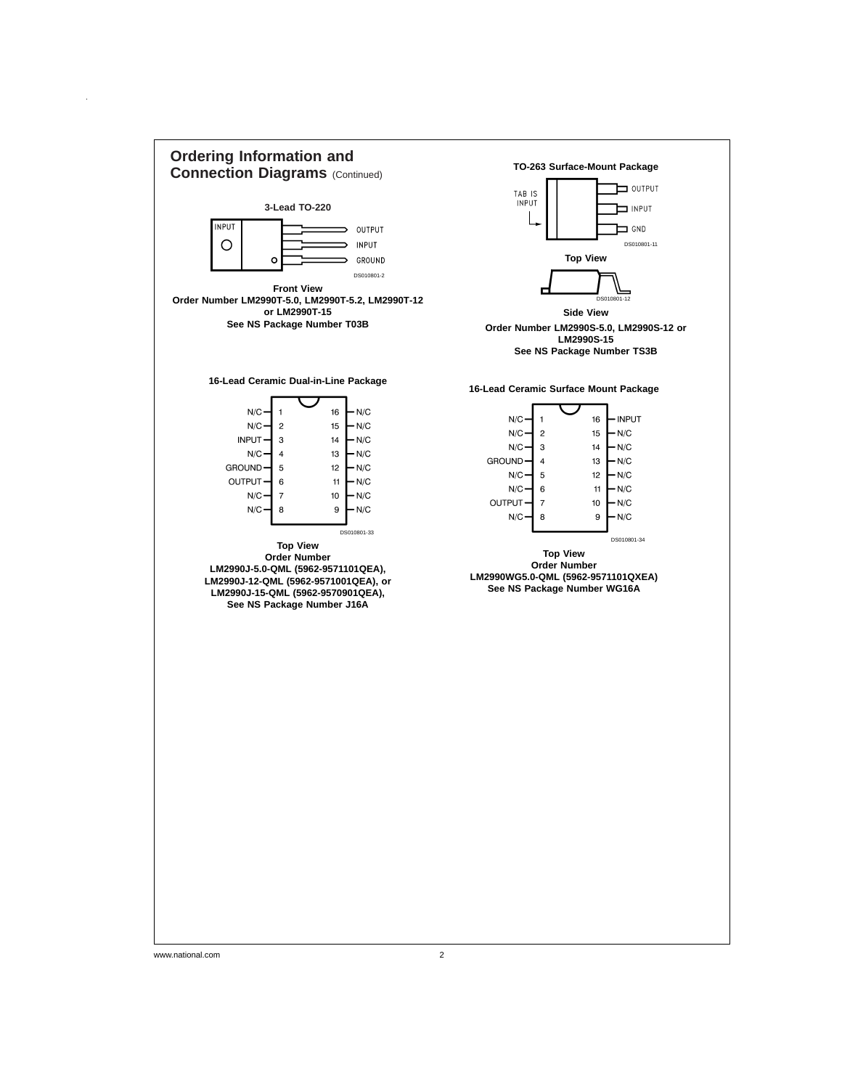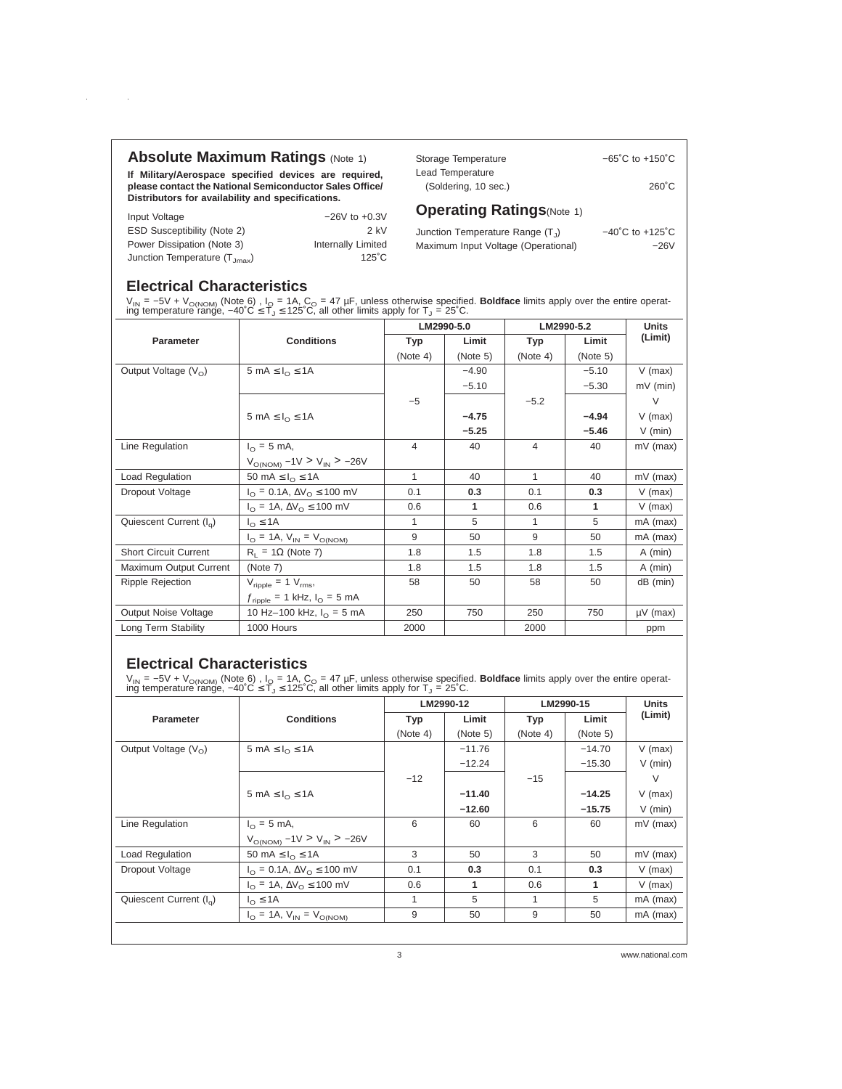**If Military/Aerospace specified devices are required, please contact the National Semiconductor Sales Office/ Distributors for availability and specifications.**

Input Voltage −26V to +0.3V ESD Susceptibility (Note 2) 2 kV Power Dissipation (Note 3) Internally Limited Junction Temperature  $(T_{Jmax})$  125<sup>°</sup>C

Storage Temperature −65°C to +150°C Lead Temperature (Soldering, 10 sec.) 260˚C

### **Operating Ratings**(Note 1)

Junction Temperature Range  $(T_J)$   $-40^{\circ}$ C to +125 $^{\circ}$ C Maximum Input Voltage (Operational) −26V

## **Electrical Characteristics**

 $\sim 10$ 

 $\sim$ 

V<sub>IN</sub> = –5V + V<sub>O(NOM)</sub> (Note 6),I<sub>O</sub> = 1A, C<sub>O</sub> = 47 μF, unless otherwise specified. **Boldface** limits apply over the entire operat-<br>ing temperature range, –40˚C ≤ T<sub>J</sub> ≤ 125˚C, all other limits apply for T<sub>J</sub> = 25˚C.

|                                                            |                                                      | LM2990-5.0     |          | LM2990-5.2 |          | <b>Units</b>  |
|------------------------------------------------------------|------------------------------------------------------|----------------|----------|------------|----------|---------------|
| Parameter                                                  | <b>Conditions</b>                                    | Typ            | Limit    | Typ        | Limit    | (Limit)       |
|                                                            |                                                      | (Note 4)       | (Note 5) | (Note 4)   | (Note 5) |               |
| Output Voltage $(V0)$                                      | 5 mA $\leq I_0 \leq 1$ A                             |                | $-4.90$  |            | $-5.10$  | $V$ (max)     |
|                                                            |                                                      |                | $-5.10$  |            | $-5.30$  | $mV$ (min)    |
|                                                            |                                                      | $-5$           |          | $-5.2$     |          | $\vee$        |
|                                                            | 5 mA $\leq I_{\Omega} \leq 1$ A                      |                | $-4.75$  |            | $-4.94$  | $V$ (max)     |
|                                                            |                                                      |                | $-5.25$  |            | $-5.46$  | $V$ (min)     |
| Line Regulation                                            | $I_{\odot} = 5$ mA,                                  | $\overline{4}$ | 40       | 4          | 40       | mV (max)      |
|                                                            | $V_{\text{O(NOM)}} - 1V > V_{\text{IN}} > -26V$      |                |          |            |          |               |
| Load Regulation                                            | 50 mA $\leq I_{\Omega} \leq 1$ A                     | 1              | 40       | 1          | 40       | mV (max)      |
| Dropout Voltage                                            | $I_{\Omega} = 0.1$ A, $\Delta V_{\Omega} \le 100$ mV | 0.1            | 0.3      | 0.1        | 0.3      | $V$ (max)     |
|                                                            | $I_{\Omega}$ = 1A, $\Delta V_{\Omega} \le 100$ mV    | 0.6            | 1        | 0.6        | 1        | $V$ (max)     |
| Quiescent Current $(I_{\alpha})$                           | $I_{\Omega} \leq 1A$                                 | 1              | 5        | 1          | 5        | mA (max)      |
|                                                            | $I_{\Omega} = 1A$ , $V_{IN} = V_{O(NOM)}$            | 9              | 50       | 9          | 50       | mA (max)      |
| <b>Short Circuit Current</b>                               | $R_1 = 1\Omega$ (Note 7)                             | 1.8            | 1.5      | 1.8        | 1.5      | $A$ (min)     |
| Maximum Output Current                                     | (Note 7)                                             | 1.8            | 1.5      | 1.8        | 1.5      | $A$ (min)     |
| Ripple Rejection                                           | $V_{\text{ripole}} = 1 V_{\text{rms}}$               | 58             | 50       | 58         | 50       | $dB$ (min)    |
|                                                            | $f_{\text{ripple}}$ = 1 kHz, $I_{\text{O}}$ = 5 mA   |                |          |            |          |               |
| Output Noise Voltage<br>10 Hz-100 kHz, $I_{\Omega} = 5$ mA |                                                      | 250            | 750      | 250        | 750      | $\mu$ V (max) |
| Long Term Stability                                        | 1000 Hours                                           | 2000           |          | 2000       |          | ppm           |

#### **Electrical Characteristics**

V<sub>IN</sub> = –5V + V<sub>O(NOM)</sub> (Note 6),I<sub>O</sub> = 1A, C<sub>O</sub> = 47 μF, unless otherwise specified. **Boldface** limits apply over the entire operat-<br>ing temperature range, –40˚C ≤ T<sub>J</sub> ≤ 125˚C, all other limits apply for T<sub>J</sub> = 25˚C.

|                                  | <b>Conditions</b>                                   | LM2990-12  |              | LM2990-15 |          | <b>Units</b> |
|----------------------------------|-----------------------------------------------------|------------|--------------|-----------|----------|--------------|
| Parameter                        |                                                     | <b>Typ</b> | Limit        | Typ       | Limit    | (Limit)      |
|                                  |                                                     | (Note 4)   | (Note 5)     | (Note 4)  | (Note 5) |              |
| Output Voltage $(V0)$            | 5 mA $\leq I_0 \leq 1$ A                            |            | $-11.76$     |           | $-14.70$ | $V$ (max)    |
|                                  |                                                     |            | $-12.24$     |           | $-15.30$ | $V$ (min)    |
|                                  |                                                     | $-12$      |              | $-15$     |          | $\vee$       |
|                                  | 5 mA $\leq I_0 \leq 1$ A                            |            | $-11.40$     |           | $-14.25$ | $V$ (max)    |
|                                  |                                                     |            | $-12.60$     |           | $-15.75$ | $V$ (min)    |
| Line Regulation                  | $I_{\odot} = 5$ mA,                                 | 6          | 60           | 6         | 60       | $mV$ (max)   |
|                                  | $V_{\text{O(NOM)}} - 1$ V > $V_{\text{IN}}$ > -26V  |            |              |           |          |              |
| <b>Load Regulation</b>           | 50 mA $\leq I_0 \leq 1$ A                           | 3          | 50           | 3         | 50       | $mV$ (max)   |
| Dropout Voltage                  | $I_{\Omega}$ = 0.1A, $\Delta V_{\Omega} \le 100$ mV | 0.1        | 0.3          | 0.1       | 0.3      | $V$ (max)    |
|                                  | $I_{\Omega}$ = 1A, $\Delta V_{\Omega} \le 100$ mV   | 0.6        | $\mathbf{1}$ | 0.6       | 1        | $V$ (max)    |
| Quiescent Current $(I_{\alpha})$ | $I_{\Omega} \leq 1A$                                | 1          | 5            | 1         | 5        | $mA$ (max)   |
|                                  | $I_{\Omega} = 1A$ , $V_{IN} = V_{O(NOM)}$           | 9          | 50           | 9         | 50       | $mA$ (max)   |
|                                  |                                                     |            |              |           |          |              |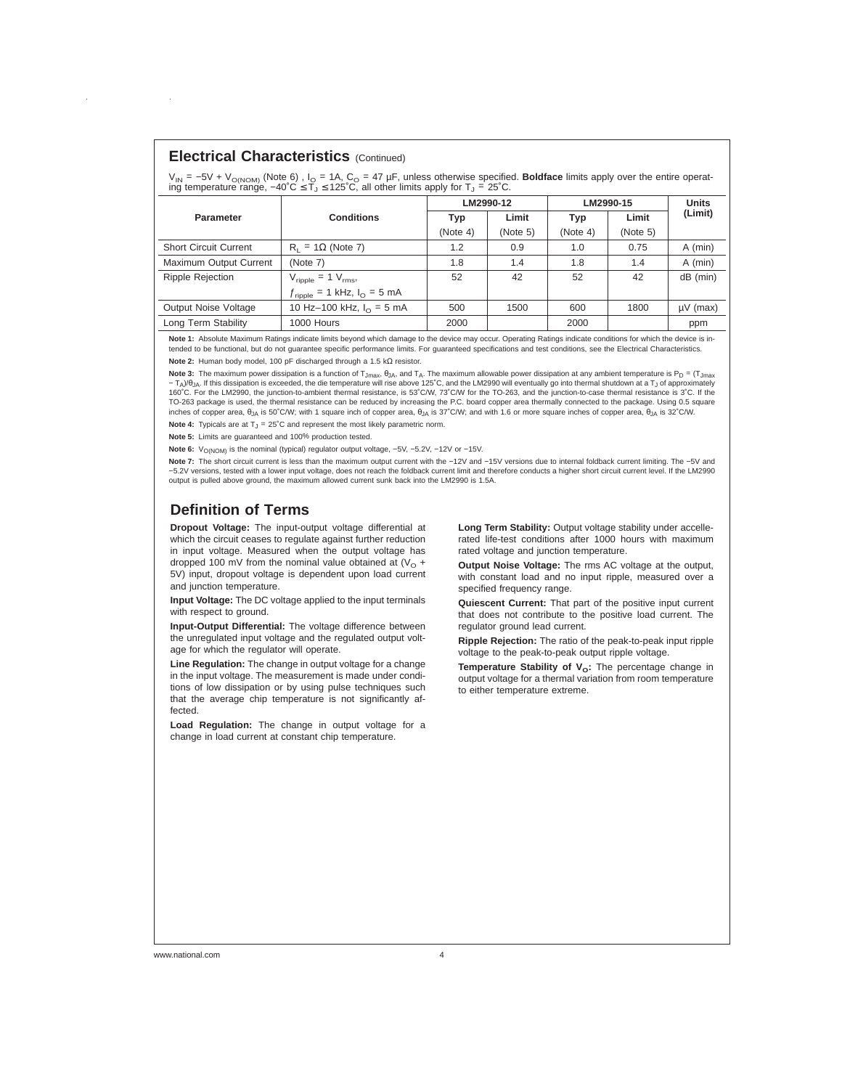#### **Electrical Characteristics** (Continued)

V<sub>IN</sub> = −5V + V<sub>O(NOM)</sub> (Note 6) , I<sub>O</sub> = 1A, C<sub>O</sub> = 47 μF, unless otherwise specified. **Boldface** limits apply over the entire operat-<br>ing temperature range, –40˚C ≤ T<sub>J</sub> ≤ 125˚C, all other limits apply for T<sub>J</sub> = 25˚C.

|                              |                                                    | LM2990-12 |          | LM2990-15  |          | <b>Units</b>  |
|------------------------------|----------------------------------------------------|-----------|----------|------------|----------|---------------|
| <b>Parameter</b>             | <b>Conditions</b>                                  | Typ       | Limit    | <b>Typ</b> | Limit    | (Limit)       |
|                              |                                                    | (Note 4)  | (Note 5) | (Note 4)   | (Note 5) |               |
| <b>Short Circuit Current</b> | $R_1 = 1\Omega$ (Note 7)                           | 1.2       | 0.9      | 1.0        | 0.75     | A (min)       |
| Maximum Output Current       | (Note 7)                                           | 1.8       | 1.4      | 1.8        | 1.4      | $A$ (min)     |
| <b>Ripple Rejection</b>      | $V_{\text{ripole}} = 1 V_{\text{rms}}$             | 52        | 42       | 52         | 42       | $dB$ (min)    |
|                              | $f_{\text{ripole}}$ = 1 kHz, $I_{\text{O}}$ = 5 mA |           |          |            |          |               |
| <b>Output Noise Voltage</b>  | 10 Hz-100 kHz, $I_0 = 5$ mA                        | 500       | 1500     | 600        | 1800     | $\mu$ V (max) |
| Long Term Stability          | 1000 Hours                                         | 2000      |          | 2000       |          | ppm           |

**Note 1:** Absolute Maximum Ratings indicate limits beyond which damage to the device may occur. Operating Ratings indicate conditions for which the device is intended to be functional, but do not guarantee specific performance limits. For guaranteed specifications and test conditions, see the Electrical Characteristics.

**Note 2:** Human body model, 100 pF discharged through a 1.5 kΩ resistor.

Note 3: The maximum power dissipation is a function of T<sub>Jmax</sub>,  $\theta_{JA}$ , and T<sub>A</sub>. The maximum allowable power dissipation at any ambient temperature is P<sub>D</sub> = (T<sub>Jmax</sub>  $-T<sub>A</sub>$ )/θ<sub>JA</sub>. If this dissipation is exceeded, the die temperature will rise above 125℃, and the LM2990 will eventually go into thermal shutdown at a T<sub>J</sub> of approximately 160˚C. For the LM2990, the junction-to-ambient thermal resistance, is 53˚C/W, 73˚C/W for the TO-263, and the junction-to-case thermal resistance is 3˚C. If the TO-263 package is used, the thermal resistance can be reduced by increasing the P.C. board copper area thermally connected to the package. Using 0.5 square inches of copper area,  $\theta_{JA}$  is 50°C/W; with 1 square inch of copper area,  $\theta_{JA}$  is 37°C/W; and with 1.6 or more square inches of copper area,  $\theta_{JA}$  is 32°C/W.

**Note 4:** Typicals are at  $T_J = 25^\circ \text{C}$  and represent the most likely parametric norm.

**Note 5:** Limits are guaranteed and 100% production tested.

Note 6: V<sub>O(NOM)</sub> is the nominal (typical) regulator output voltage, -5V, -5.2V, -12V or -15V.

Note 7: The short circuit current is less than the maximum output current with the −12V and −15V versions due to internal foldback current limiting. The -5V and −5.2V versions, tested with a lower input voltage, does not reach the foldback current limit and therefore conducts a higher short circuit current level. If the LM2990 output is pulled above ground, the maximum allowed current sunk back into the LM2990 is 1.5A.

#### **Definition of Terms**

**Dropout Voltage:** The input-output voltage differential at which the circuit ceases to regulate against further reduction in input voltage. Measured when the output voltage has dropped 100 mV from the nominal value obtained at  $(V<sub>O</sub> +$ 5V) input, dropout voltage is dependent upon load current and junction temperature.

**Input Voltage:** The DC voltage applied to the input terminals with respect to ground.

**Input-Output Differential:** The voltage difference between the unregulated input voltage and the regulated output voltage for which the regulator will operate.

**Line Regulation:** The change in output voltage for a change in the input voltage. The measurement is made under conditions of low dissipation or by using pulse techniques such that the average chip temperature is not significantly affected.

**Load Regulation:** The change in output voltage for a change in load current at constant chip temperature.

**Long Term Stability:** Output voltage stability under accellerated life-test conditions after 1000 hours with maximum rated voltage and junction temperature.

**Output Noise Voltage:** The rms AC voltage at the output, with constant load and no input ripple, measured over a specified frequency range.

**Quiescent Current:** That part of the positive input current that does not contribute to the positive load current. The regulator ground lead current.

**Ripple Rejection:** The ratio of the peak-to-peak input ripple voltage to the peak-to-peak output ripple voltage.

**Temperature Stability of V<sub>o</sub>:** The percentage change in output voltage for a thermal variation from room temperature to either temperature extreme.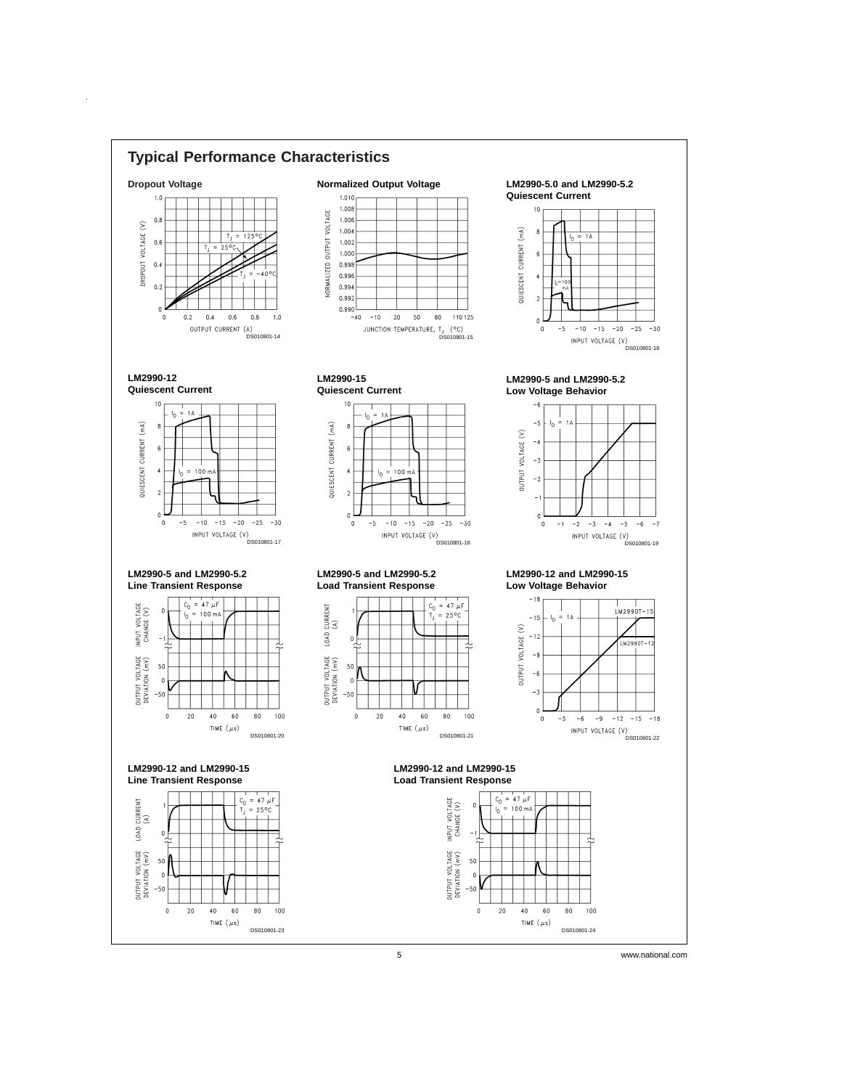

 $\hat{\boldsymbol{\beta}}$ 

5 www.national.com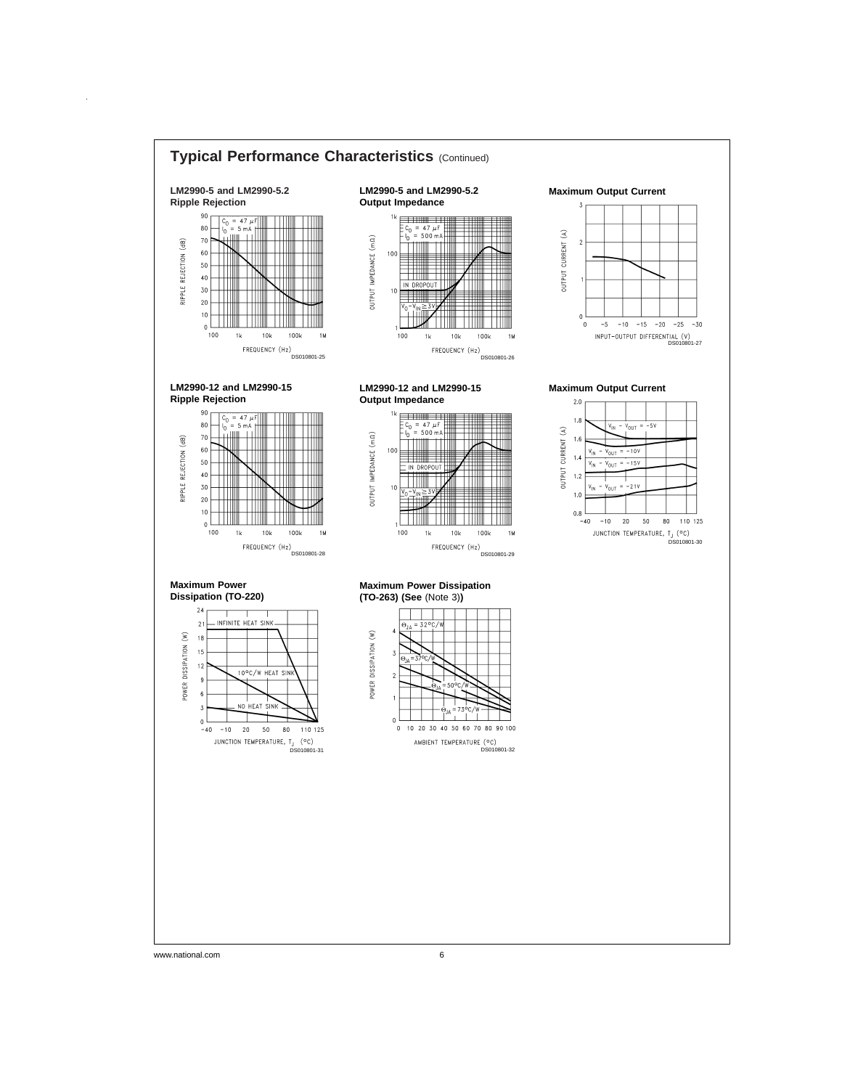

 $\hat{\boldsymbol{\beta}}$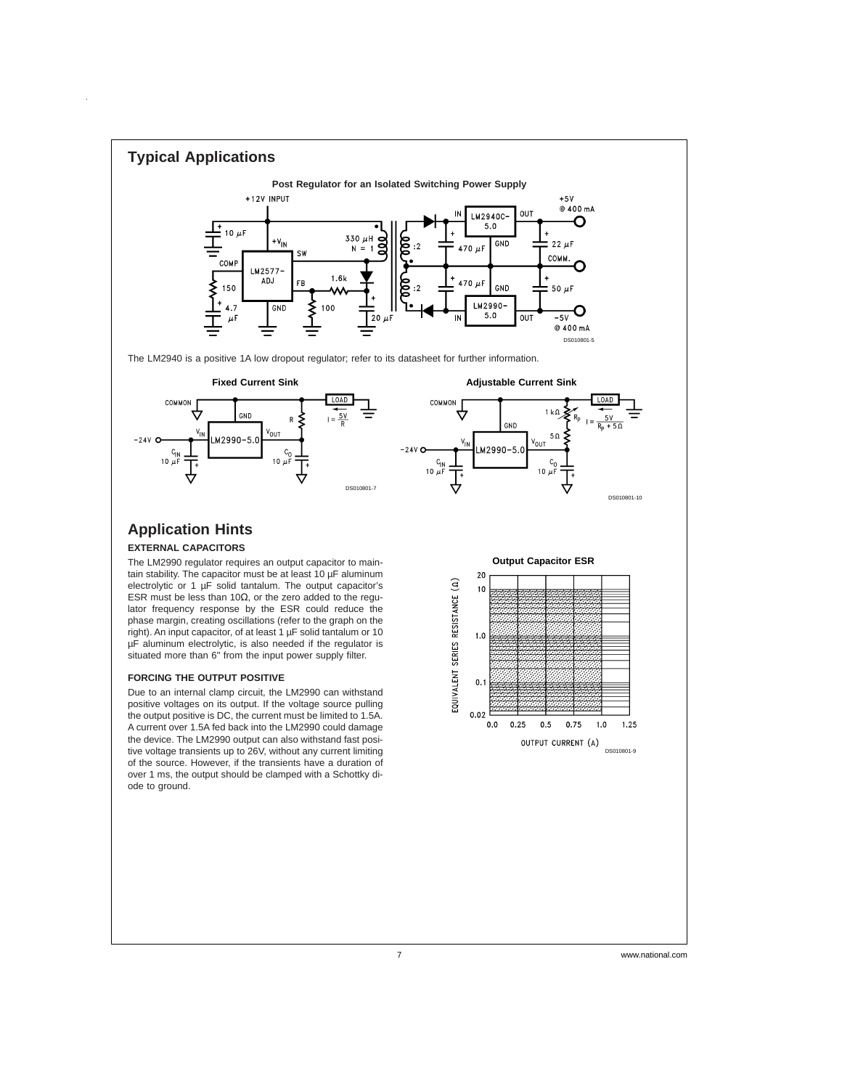

7 www.national.com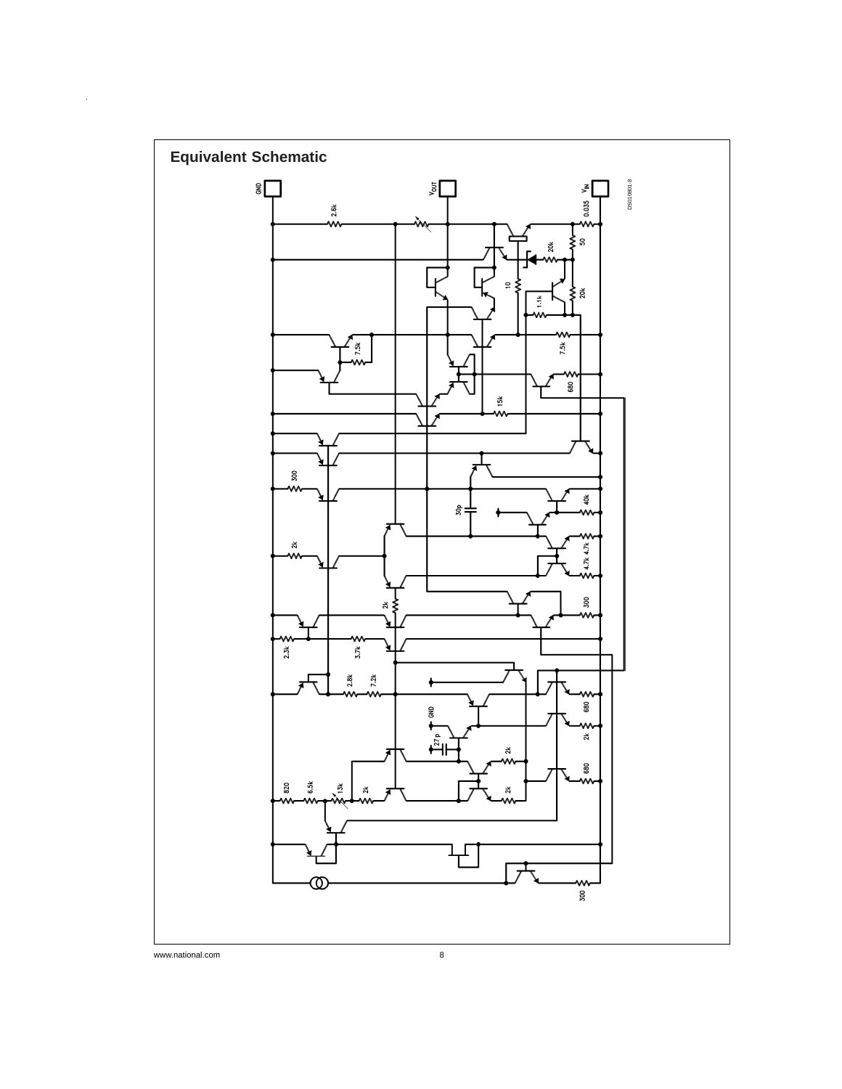

 $\ddot{\phantom{1}}$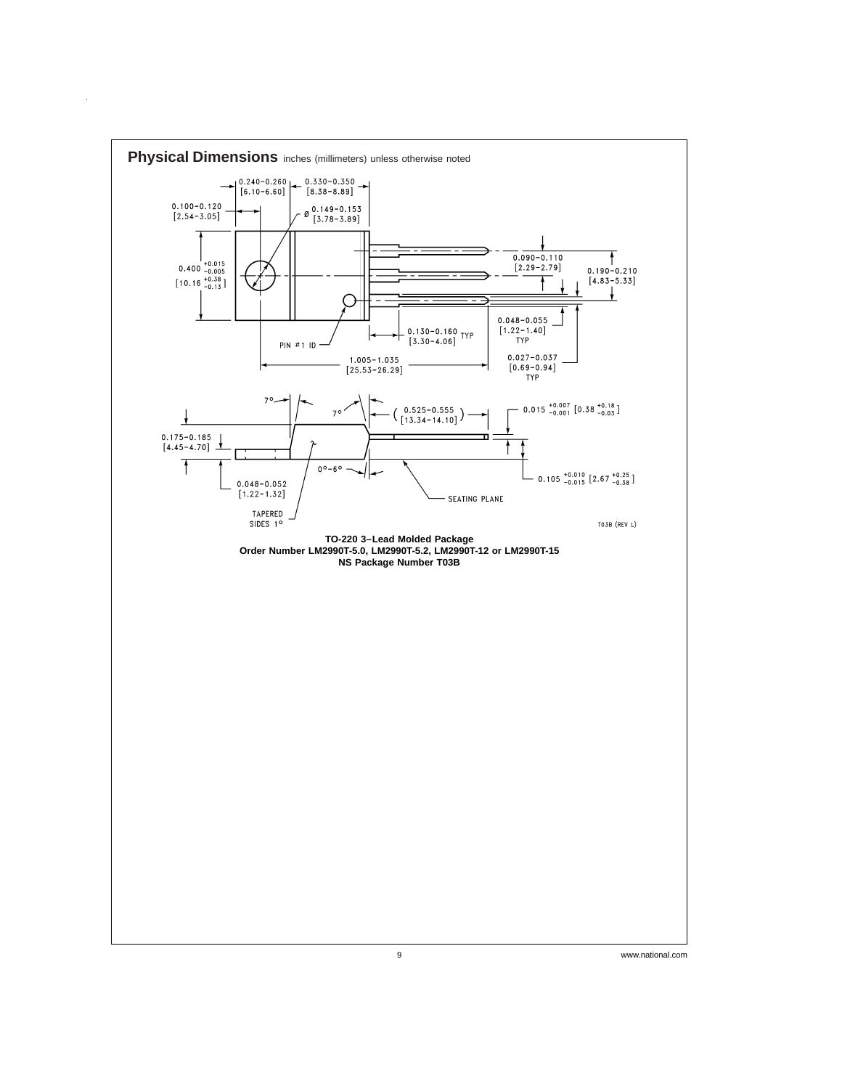

 $\hat{\mathcal{A}}$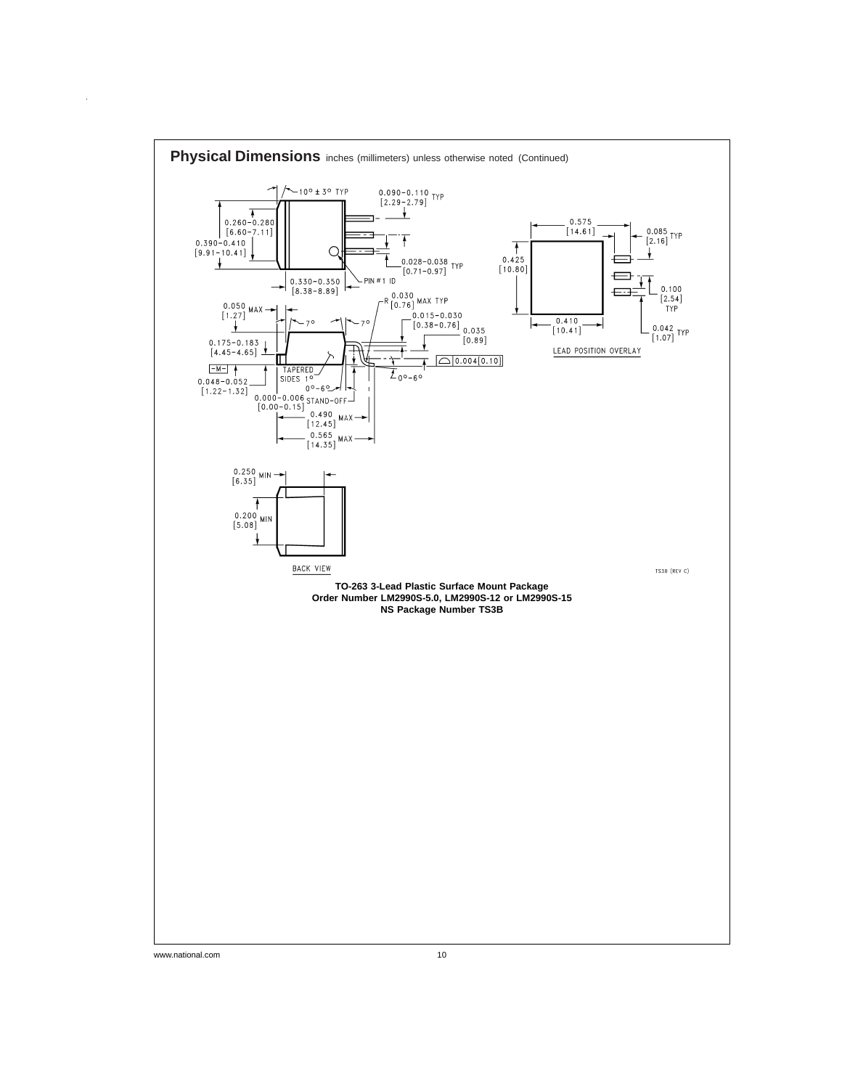

 $\hat{\boldsymbol{\beta}}$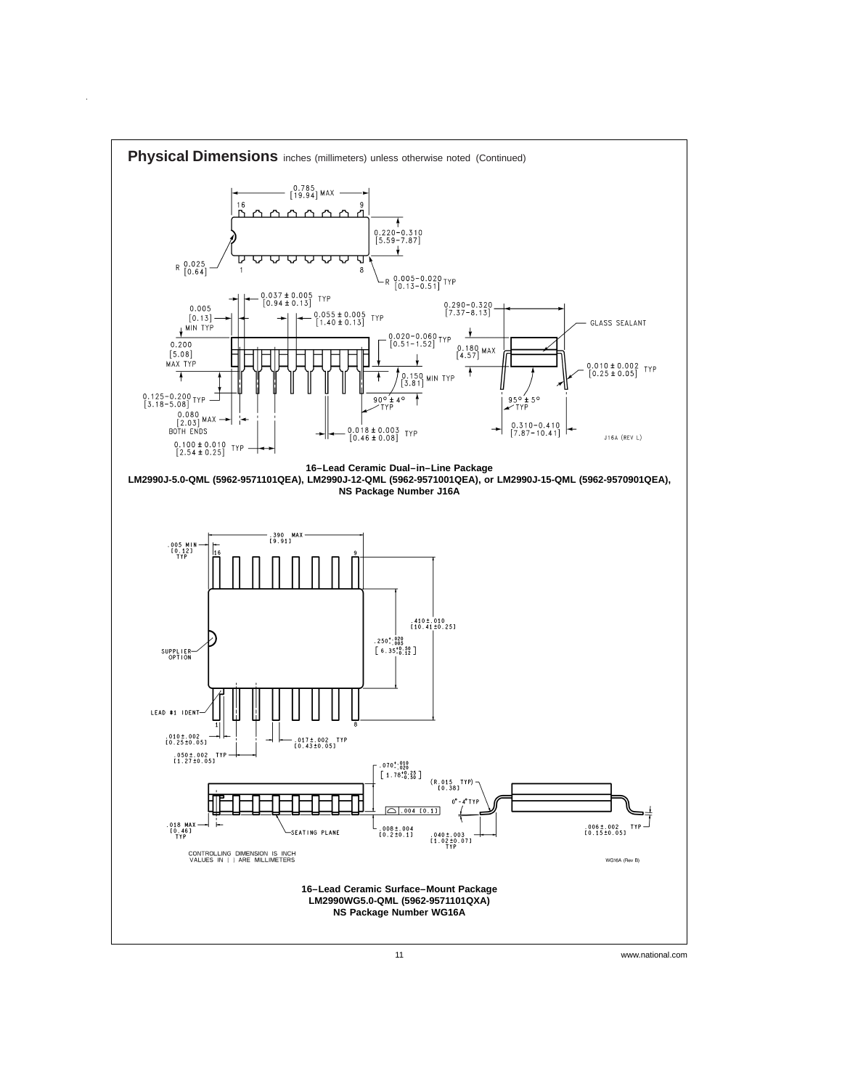

 $\bar{z}$ 

11 www.national.com